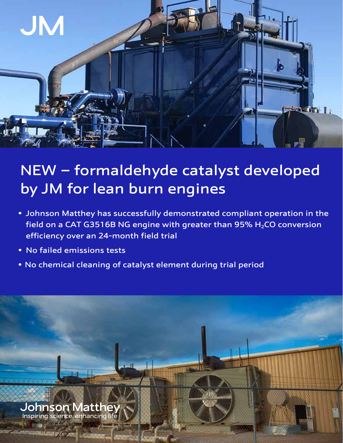

## NEW – formaldehyde catalyst developed by JM for lean burn engines

- Johnson Matthey has successfully demonstrated compliant operation in the field on a CAT G3516B NG engine with greater than 95%  $H<sub>2</sub>CO$  conversion efficiency over an 24-month field trial
- No failed emissions tests
- No chemical cleaning of catalyst element during trial period



**TARGE**